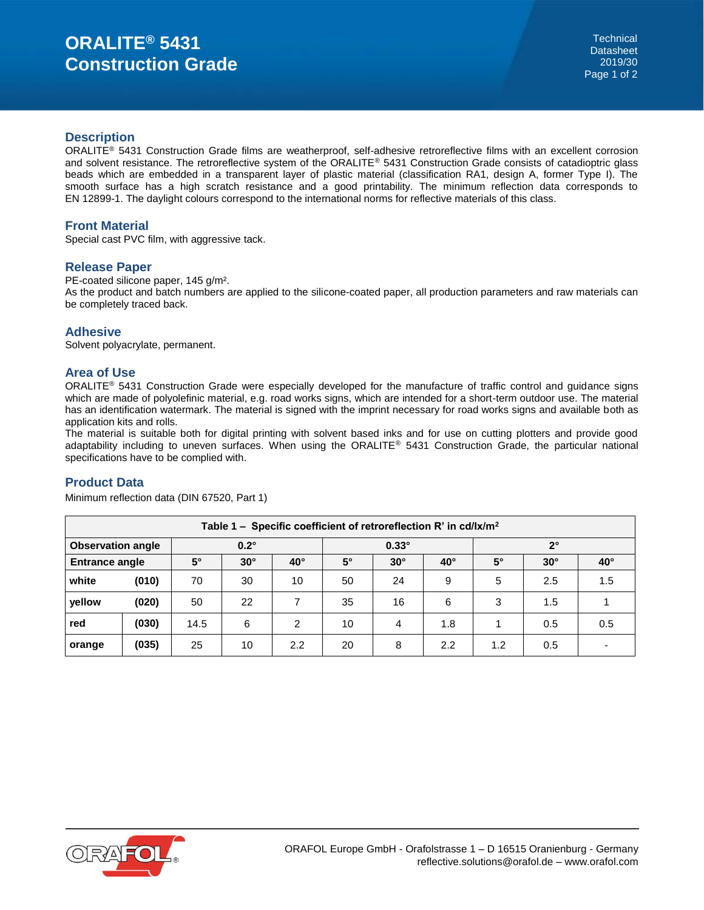# **ORALITE® 5431 Construction Grade**

#### **Description**

ORALITE® 5431 Construction Grade films are weatherproof, self-adhesive retroreflective films with an excellent corrosion and solvent resistance. The retroreflective system of the ORALITE® 5431 Construction Grade consists of catadioptric glass beads which are embedded in a transparent layer of plastic material (classification RA1, design A, former Type I). The smooth surface has a high scratch resistance and a good printability. The minimum reflection data corresponds to EN 12899-1. The daylight colours correspond to the international norms for reflective materials of this class.

#### **Front Material**

Special cast PVC film, with aggressive tack.

#### **Release Paper**

PE-coated silicone paper, 145 g/m².

As the product and batch numbers are applied to the silicone-coated paper, all production parameters and raw materials can be completely traced back.

## **Adhesive**

Solvent polyacrylate, permanent.

## **Area of Use**

ORALITE® 5431 Construction Grade were especially developed for the manufacture of traffic control and guidance signs which are made of polyolefinic material, e.g. road works signs, which are intended for a short-term outdoor use. The material has an identification watermark. The material is signed with the imprint necessary for road works signs and available both as application kits and rolls.

The material is suitable both for digital printing with solvent based inks and for use on cutting plotters and provide good adaptability including to uneven surfaces. When using the ORALITE® 5431 Construction Grade, the particular national specifications have to be complied with.

## **Product Data**

Minimum reflection data (DIN 67520, Part 1)

| Table 1 – Specific coefficient of retroreflection R' in cd/lx/m <sup>2</sup> |       |             |            |              |              |            |              |             |            |            |
|------------------------------------------------------------------------------|-------|-------------|------------|--------------|--------------|------------|--------------|-------------|------------|------------|
| <b>Observation angle</b>                                                     |       | $0.2^\circ$ |            |              | $0.33^\circ$ |            |              | $2^{\circ}$ |            |            |
| <b>Entrance angle</b>                                                        |       | $5^\circ$   | $30^\circ$ | $40^{\circ}$ | $5^\circ$    | $30^\circ$ | $40^{\circ}$ | $5^\circ$   | $30^\circ$ | $40^\circ$ |
| white                                                                        | (010) | 70          | 30         | 10           | 50           | 24         | 9            | 5           | 2.5        | 1.5        |
| yellow                                                                       | (020) | 50          | 22         |              | 35           | 16         | 6            | 3           | 1.5        |            |
| red                                                                          | (030) | 14.5        | 6          | 2            | 10           | 4          | 1.8          |             | 0.5        | 0.5        |
| orange                                                                       | (035) | 25          | 10         | 2.2          | 20           | 8          | 2.2          | 1.2         | 0.5        |            |